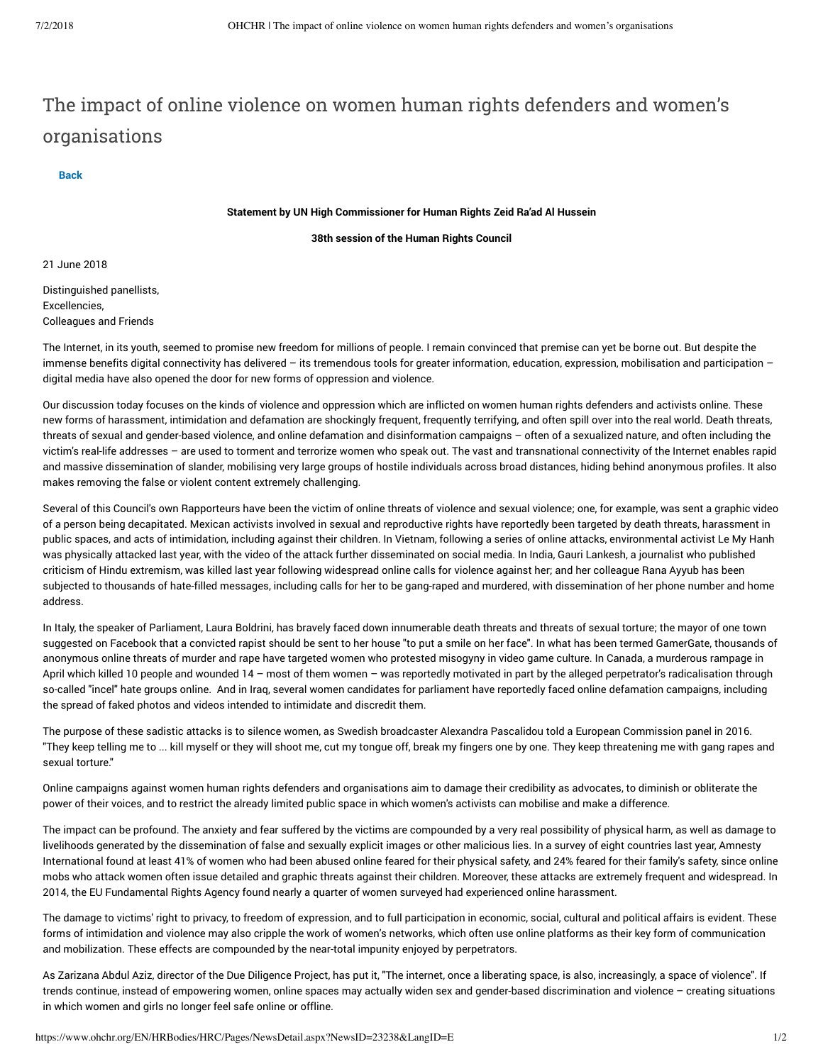## The impact of online violence on women human rights defenders and women's organisations

**[Back](javascript:WebForm_DoPostBackWithOptions(new WebForm_PostBackOptions("ctl00$ctl50$g_2380b1ed_e599_4226_b9b2_a3c4fe900e12$lnkBackNews", "", true, "", "", false, true)))**

## **Statement by UN High Commissioner for Human Rights Zeid Ra'ad Al Hussein**

**38th session of the Human Rights Council**

21 June 2018

Distinguished panellists, Excellencies, Colleagues and Friends

The Internet, in its youth, seemed to promise new freedom for millions of people. I remain convinced that premise can yet be borne out. But despite the immense benefits digital connectivity has delivered – its tremendous tools for greater information, education, expression, mobilisation and participation – digital media have also opened the door for new forms of oppression and violence.

Our discussion today focuses on the kinds of violence and oppression which are inflicted on women human rights defenders and activists online. These new forms of harassment, intimidation and defamation are shockingly frequent, frequently terrifying, and often spill over into the real world. Death threats, threats of sexual and gender-based violence, and online defamation and disinformation campaigns – often of a sexualized nature, and often including the victim's real-life addresses – are used to torment and terrorize women who speak out. The vast and transnational connectivity of the Internet enables rapid and massive dissemination of slander, mobilising very large groups of hostile individuals across broad distances, hiding behind anonymous profiles. It also makes removing the false or violent content extremely challenging.

Several of this Council's own Rapporteurs have been the victim of online threats of violence and sexual violence; one, for example, was sent a graphic video of a person being decapitated. Mexican activists involved in sexual and reproductive rights have reportedly been targeted by death threats, harassment in public spaces, and acts of intimidation, including against their children. In Vietnam, following a series of online attacks, environmental activist Le My Hanh was physically attacked last year, with the video of the attack further disseminated on social media. In India, Gauri Lankesh, a journalist who published criticism of Hindu extremism, was killed last year following widespread online calls for violence against her; and her colleague Rana Ayyub has been subjected to thousands of hate-filled messages, including calls for her to be gang-raped and murdered, with dissemination of her phone number and home address.

In Italy, the speaker of Parliament, Laura Boldrini, has bravely faced down innumerable death threats and threats of sexual torture; the mayor of one town suggested on Facebook that a convicted rapist should be sent to her house "to put a smile on her face". In what has been termed GamerGate, thousands of anonymous online threats of murder and rape have targeted women who protested misogyny in video game culture. In Canada, a murderous rampage in April which killed 10 people and wounded 14 – most of them women – was reportedly motivated in part by the alleged perpetrator's radicalisation through so-called "incel" hate groups online. And in Iraq, several women candidates for parliament have reportedly faced online defamation campaigns, including the spread of faked photos and videos intended to intimidate and discredit them.

The purpose of these sadistic attacks is to silence women, as Swedish broadcaster Alexandra Pascalidou told a European Commission panel in 2016. "They keep telling me to ... kill myself or they will shoot me, cut my tongue off, break my fingers one by one. They keep threatening me with gang rapes and sexual torture."

Online campaigns against women human rights defenders and organisations aim to damage their credibility as advocates, to diminish or obliterate the power of their voices, and to restrict the already limited public space in which women's activists can mobilise and make a difference.

The impact can be profound. The anxiety and fear suffered by the victims are compounded by a very real possibility of physical harm, as well as damage to livelihoods generated by the dissemination of false and sexually explicit images or other malicious lies. In a survey of eight countries last year, Amnesty International found at least 41% of women who had been abused online feared for their physical safety, and 24% feared for their family's safety, since online mobs who attack women often issue detailed and graphic threats against their children. Moreover, these attacks are extremely frequent and widespread. In 2014, the EU Fundamental Rights Agency found nearly a quarter of women surveyed had experienced online harassment.

The damage to victims' right to privacy, to freedom of expression, and to full participation in economic, social, cultural and political affairs is evident. These forms of intimidation and violence may also cripple the work of women's networks, which often use online platforms as their key form of communication and mobilization. These effects are compounded by the near-total impunity enjoyed by perpetrators.

As Zarizana Abdul Aziz, director of the Due Diligence Project, has put it, "The internet, once a liberating space, is also, increasingly, a space of violence". If trends continue, instead of empowering women, online spaces may actually widen sex and gender-based discrimination and violence – creating situations in which women and girls no longer feel safe online or offline.